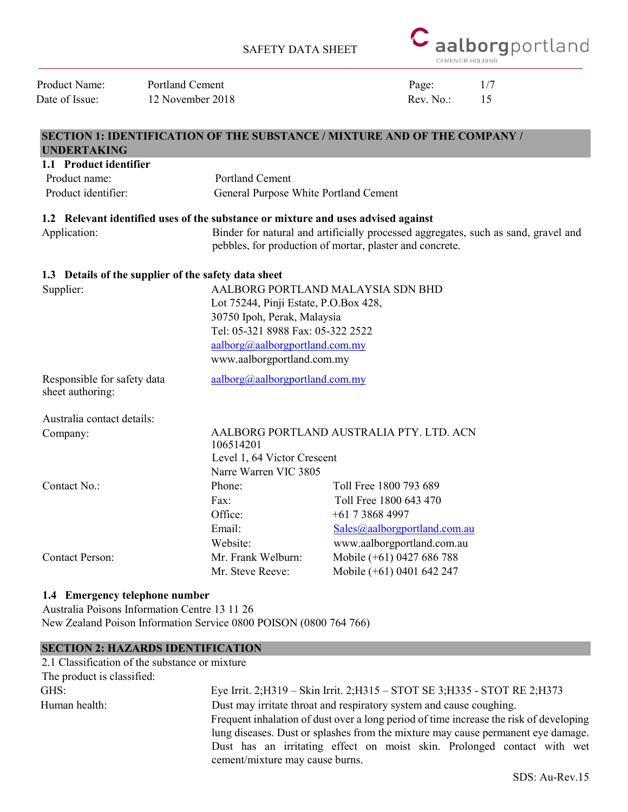

| Product Name:                                   | <b>Portland Cement</b>                               |                                                                                   |                              | Page:     | 1/7                                                                                |  |
|-------------------------------------------------|------------------------------------------------------|-----------------------------------------------------------------------------------|------------------------------|-----------|------------------------------------------------------------------------------------|--|
| Date of Issue:                                  | 12 November 2018                                     |                                                                                   |                              | Rev. No.: | 15                                                                                 |  |
|                                                 |                                                      | <b>SECTION 1: IDENTIFICATION OF THE SUBSTANCE / MIXTURE AND OF THE COMPANY /</b>  |                              |           |                                                                                    |  |
| <b>UNDERTAKING</b>                              |                                                      |                                                                                   |                              |           |                                                                                    |  |
| 1.1 Product identifier<br>Product name:         |                                                      | <b>Portland Cement</b>                                                            |                              |           |                                                                                    |  |
| Product identifier:                             |                                                      | General Purpose White Portland Cement                                             |                              |           |                                                                                    |  |
|                                                 |                                                      |                                                                                   |                              |           |                                                                                    |  |
|                                                 |                                                      | 1.2 Relevant identified uses of the substance or mixture and uses advised against |                              |           |                                                                                    |  |
| Application:                                    |                                                      |                                                                                   |                              |           | Binder for natural and artificially processed aggregates, such as sand, gravel and |  |
|                                                 |                                                      | pebbles, for production of mortar, plaster and concrete.                          |                              |           |                                                                                    |  |
|                                                 | 1.3 Details of the supplier of the safety data sheet |                                                                                   |                              |           |                                                                                    |  |
| Supplier:                                       |                                                      | AALBORG PORTLAND MALAYSIA SDN BHD                                                 |                              |           |                                                                                    |  |
|                                                 |                                                      | Lot 75244, Pinji Estate, P.O.Box 428,                                             |                              |           |                                                                                    |  |
|                                                 |                                                      | 30750 Ipoh, Perak, Malaysia                                                       |                              |           |                                                                                    |  |
|                                                 |                                                      | Tel: 05-321 8988 Fax: 05-322 2522                                                 |                              |           |                                                                                    |  |
|                                                 |                                                      | aalborg@aalborgportland.com.my                                                    |                              |           |                                                                                    |  |
|                                                 |                                                      | www.aalborgportland.com.my                                                        |                              |           |                                                                                    |  |
| Responsible for safety data<br>sheet authoring: |                                                      | aalborg@aalborgportland.com.my                                                    |                              |           |                                                                                    |  |
| Australia contact details:                      |                                                      |                                                                                   |                              |           |                                                                                    |  |
| Company:                                        |                                                      | AALBORG PORTLAND AUSTRALIA PTY. LTD. ACN<br>106514201                             |                              |           |                                                                                    |  |
|                                                 |                                                      | Level 1, 64 Victor Crescent                                                       |                              |           |                                                                                    |  |
|                                                 |                                                      | Narre Warren VIC 3805                                                             |                              |           |                                                                                    |  |
| Contact No.:                                    |                                                      | Phone:                                                                            | Toll Free 1800 793 689       |           |                                                                                    |  |
|                                                 |                                                      | Fax:                                                                              | Toll Free 1800 643 470       |           |                                                                                    |  |
|                                                 |                                                      | Office:                                                                           | $+61$ 7 3868 4997            |           |                                                                                    |  |
|                                                 |                                                      | Email:                                                                            | Sales@aalborgportland.com.au |           |                                                                                    |  |
|                                                 |                                                      | Website:                                                                          | www.aalborgportland.com.au   |           |                                                                                    |  |
| <b>Contact Person:</b>                          |                                                      | Mr. Frank Welburn:                                                                | Mobile (+61) 0427 686 788    |           |                                                                                    |  |
|                                                 |                                                      | Mr. Steve Reeve:                                                                  | Mobile (+61) 0401 642 247    |           |                                                                                    |  |
|                                                 |                                                      |                                                                                   |                              |           |                                                                                    |  |

## 1.4 Emergency telephone number

Australia Poisons Information Centre 13 11 26 New Zealand Poison Information Service 0800 POISON (0800 764 766)

## SECTION 2: HAZARDS IDENTIFICATION

| 2.1 Classification of the substance or mixture |                                                                                        |
|------------------------------------------------|----------------------------------------------------------------------------------------|
| The product is classified:                     |                                                                                        |
| GHS:                                           | Eye Irrit. 2;H319 - Skin Irrit. 2;H315 - STOT SE 3;H335 - STOT RE 2;H373               |
| Human health:                                  | Dust may irritate throat and respiratory system and cause coughing.                    |
|                                                | Frequent inhalation of dust over a long period of time increase the risk of developing |
|                                                | lung diseases. Dust or splashes from the mixture may cause permanent eye damage.       |
|                                                | Dust has an irritating effect on moist skin. Prolonged contact with wet                |
|                                                | cement/mixture may cause burns.                                                        |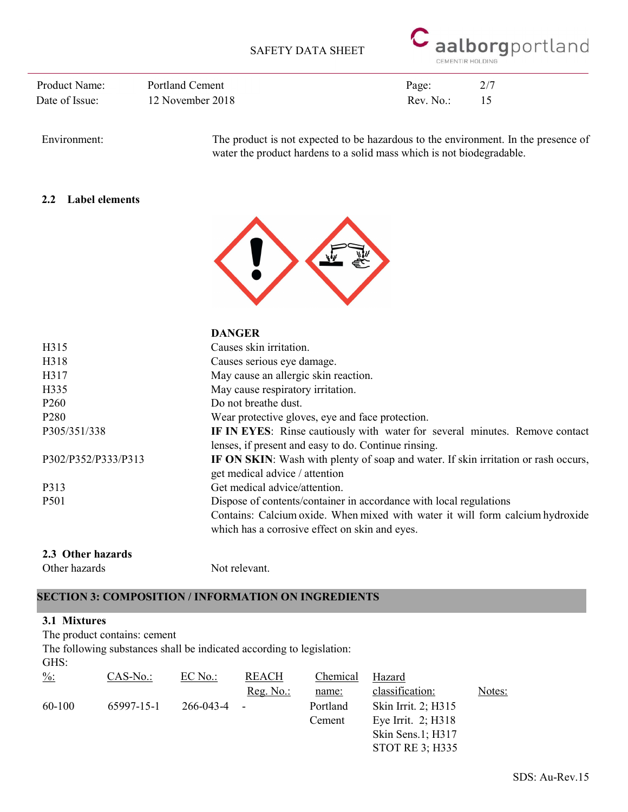

Date of Issue: 12 November 2018 Rev. No.: 15 Product Name: Portland Cement Page: 2/7

Environment: The product is not expected to be hazardous to the environment. In the presence of water the product hardens to a solid mass which is not biodegradable.

## 2.2 Label elements



|                     | <b>DANGER</b>                                                                      |
|---------------------|------------------------------------------------------------------------------------|
| H315                | Causes skin irritation.                                                            |
| H318                | Causes serious eye damage.                                                         |
| H317                | May cause an allergic skin reaction.                                               |
| H335                | May cause respiratory irritation.                                                  |
| P <sub>260</sub>    | Do not breathe dust.                                                               |
| P <sub>280</sub>    | Wear protective gloves, eye and face protection.                                   |
| P305/351/338        | IF IN EYES: Rinse cautiously with water for several minutes. Remove contact        |
|                     | lenses, if present and easy to do. Continue rinsing.                               |
| P302/P352/P333/P313 | IF ON SKIN: Wash with plenty of soap and water. If skin irritation or rash occurs, |
|                     | get medical advice / attention                                                     |
| P313                | Get medical advice/attention.                                                      |
| <b>P501</b>         | Dispose of contents/container in accordance with local regulations                 |
|                     | Contains: Calcium oxide. When mixed with water it will form calcium hydroxide      |
|                     | which has a corrosive effect on skin and eyes.                                     |
|                     |                                                                                    |

#### 2.3 Other hazards

Other hazards Not relevant.

## SECTION 3: COMPOSITION / INFORMATION ON INGREDIENTS

#### 3.1 Mixtures

The product contains: cement

The following substances shall be indicated according to legislation:

GHS:

| $\frac{9}{6}$ : | $CAS-No.$  | EC No.:   | <b>REACH</b>             | Chemical | Hazard                 |        |
|-----------------|------------|-----------|--------------------------|----------|------------------------|--------|
|                 |            |           | $Reg. No.:$              | name:    | classification:        | Notes: |
| 60-100          | 65997-15-1 | 266-043-4 | $\overline{\phantom{a}}$ | Portland | Skin Irrit. 2; H315    |        |
|                 |            |           |                          | Cement   | Eye Irrit. $2$ ; H318  |        |
|                 |            |           |                          |          | Skin Sens.1; H317      |        |
|                 |            |           |                          |          | <b>STOT RE 3; H335</b> |        |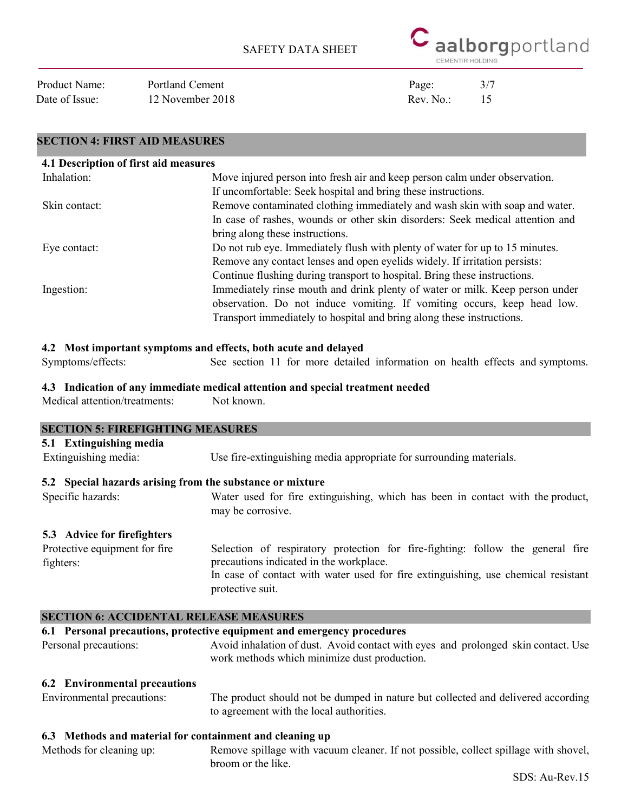

Date of Issue: 12 November 2018 Rev. No.: 15 Product Name: Portland Cement Page: 3/7

SECTION 4: FIRST AID MEASURES

| 4.1 Description of first aid measures |                                                                               |
|---------------------------------------|-------------------------------------------------------------------------------|
| Inhalation:                           | Move injured person into fresh air and keep person calm under observation.    |
|                                       | If uncomfortable: Seek hospital and bring these instructions.                 |
| Skin contact:                         | Remove contaminated clothing immediately and wash skin with soap and water.   |
|                                       | In case of rashes, wounds or other skin disorders: Seek medical attention and |
|                                       | bring along these instructions.                                               |
| Eye contact:                          | Do not rub eye. Immediately flush with plenty of water for up to 15 minutes.  |
|                                       | Remove any contact lenses and open eyelids widely. If irritation persists:    |
|                                       | Continue flushing during transport to hospital. Bring these instructions.     |
| Ingestion:                            | Immediately rinse mouth and drink plenty of water or milk. Keep person under  |
|                                       | observation. Do not induce vomiting. If vomiting occurs, keep head low.       |
|                                       | Transport immediately to hospital and bring along these instructions.         |

## 4.2 Most important symptoms and effects, both acute and delayed

Symptoms/effects: See section 11 for more detailed information on health effects and symptoms.

#### 4.3 Indication of any immediate medical attention and special treatment needed

Medical attention/treatments: Not known.

| <b>SECTION 5: FIREFIGHTING MEASURES</b>                   |                                                                                                                                                                                                                                    |
|-----------------------------------------------------------|------------------------------------------------------------------------------------------------------------------------------------------------------------------------------------------------------------------------------------|
| 5.1 Extinguishing media                                   |                                                                                                                                                                                                                                    |
| Extinguishing media:                                      | Use fire-extinguishing media appropriate for surrounding materials.                                                                                                                                                                |
| 5.2 Special hazards arising from the substance or mixture |                                                                                                                                                                                                                                    |
| Specific hazards:                                         | Water used for fire extinguishing, which has been in contact with the product,<br>may be corrosive.                                                                                                                                |
| 5.3 Advice for firefighters                               |                                                                                                                                                                                                                                    |
| Protective equipment for fire<br>fighters:                | Selection of respiratory protection for fire-fighting: follow the general fire<br>precautions indicated in the workplace.<br>In case of contact with water used for fire extinguishing, use chemical resistant<br>protective suit. |

#### SECTION 6: ACCIDENTAL RELEASE MEASURES

## 6.1 Personal precautions, protective equipment and emergency procedures

Personal precautions: Avoid inhalation of dust. Avoid contact with eyes and prolonged skin contact. Use work methods which minimize dust production.

#### 6.2 Environmental precautions

Environmental precautions: The product should not be dumped in nature but collected and delivered according to agreement with the local authorities.

#### 6.3 Methods and material for containment and cleaning up

Methods for cleaning up: Remove spillage with vacuum cleaner. If not possible, collect spillage with shovel, broom or the like.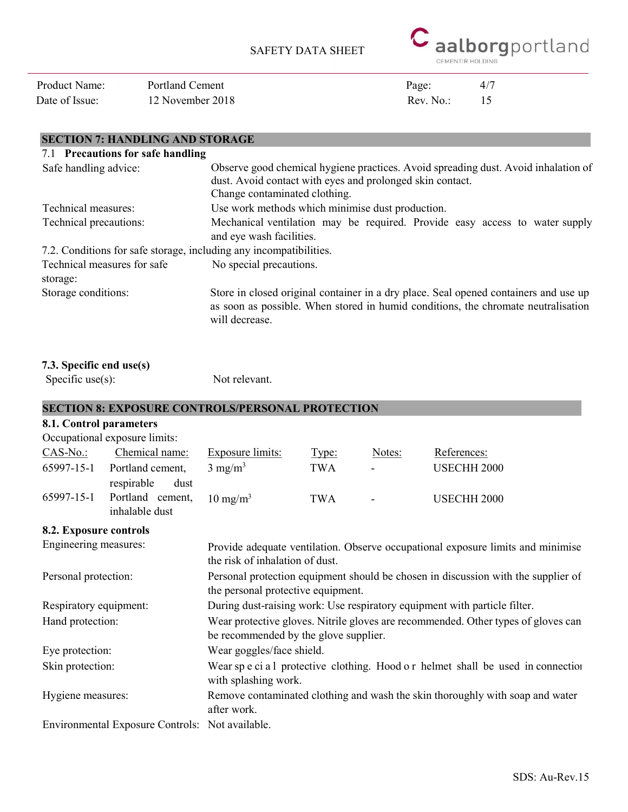

Date of Issue: 12 November 2018 Rev. No.: 15 Product Name: Portland Cement Page: 4/7

## SECTION 7: HANDLING AND STORAGE

| 7.1 Precautions for safe handling                                  |                                                                                                                                                                                             |  |
|--------------------------------------------------------------------|---------------------------------------------------------------------------------------------------------------------------------------------------------------------------------------------|--|
| Safe handling advice:                                              | Observe good chemical hygiene practices. Avoid spreading dust. Avoid inhalation of<br>dust. Avoid contact with eyes and prolonged skin contact.<br>Change contaminated clothing.            |  |
| Technical measures:                                                | Use work methods which minimise dust production.                                                                                                                                            |  |
| Technical precautions:                                             | Mechanical ventilation may be required. Provide easy access to water supply<br>and eye wash facilities.                                                                                     |  |
| 7.2. Conditions for safe storage, including any incompatibilities. |                                                                                                                                                                                             |  |
| Technical measures for safe<br>storage:                            | No special precautions.                                                                                                                                                                     |  |
| Storage conditions:                                                | Store in closed original container in a dry place. Seal opened containers and use up<br>as soon as possible. When stored in humid conditions, the chromate neutralisation<br>will decrease. |  |

Specific use(s): Not relevant.

## SECTION 8: EXPOSURE CONTROLS/PERSONAL PROTECTION

## 8.1. Control parameters

| Occupational exposure limits: |                                                          |                     |            |                          |             |
|-------------------------------|----------------------------------------------------------|---------------------|------------|--------------------------|-------------|
| $CAS-No.$                     | Chemical name:                                           | Exposure limits:    | Type:      | Notes:                   | References: |
| 65997-15-1                    | Portland cement,                                         | $3 \text{ mg/m}^3$  | <b>TWA</b> | $\overline{\phantom{a}}$ | USECHH 2000 |
| 65997-15-1                    | respirable<br>dust<br>Portland cement,<br>inhalable dust | $10 \text{ mg/m}^3$ | <b>TWA</b> | $\blacksquare$           | USECHH 2000 |

## 8.2. Exposure controls

| Engineering measures:                           | Provide adequate ventilation. Observe occupational exposure limits and minimise<br>the risk of inhalation of dust.         |
|-------------------------------------------------|----------------------------------------------------------------------------------------------------------------------------|
| Personal protection:                            | Personal protection equipment should be chosen in discussion with the supplier of<br>the personal protective equipment.    |
| Respiratory equipment:                          | During dust-raising work: Use respiratory equipment with particle filter.                                                  |
| Hand protection:                                | Wear protective gloves. Nitrile gloves are recommended. Other types of gloves can<br>be recommended by the glove supplier. |
| Eye protection:                                 | Wear goggles/face shield.                                                                                                  |
| Skin protection:                                | Wear sp e ci a l protective clothing. Hood o r helmet shall be used in connection<br>with splashing work.                  |
| Hygiene measures:                               | Remove contaminated clothing and wash the skin thoroughly with soap and water<br>after work.                               |
| Environmental Exposure Controls: Not available. |                                                                                                                            |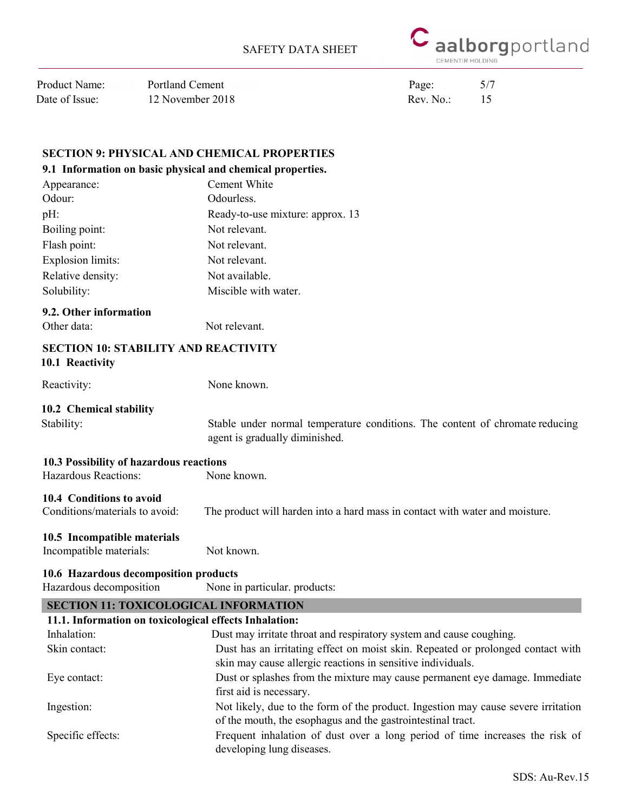

| Product Name:  |  |
|----------------|--|
| Date of Issue: |  |

12 November 2018 Rev. No.: 15 Portland Cement Page: 5/7

## SECTION 9: PHYSICAL AND CHEMICAL PROPERTIES

#### 9.1 Information on basic physical and chemical properties.

| Appearance:              | Cement White                     |
|--------------------------|----------------------------------|
| Odour:                   | Odourless.                       |
| pH:                      | Ready-to-use mixture: approx. 13 |
| Boiling point:           | Not relevant.                    |
| Flash point:             | Not relevant.                    |
| <b>Explosion limits:</b> | Not relevant.                    |
| Relative density:        | Not available.                   |
| Solubility:              | Miscible with water.             |
|                          |                                  |

## 9.2. Other information

Other data: Not relevant.

#### SECTION 10: STABILITY AND REACTIVITY 10.1 Reactivity

 Reactivity: None known.

## 10.2 Chemical stability

Stability: Stable under normal temperature conditions. The content of chromate reducing agent is gradually diminished.

# 10.3 Possibility of hazardous reactions

Hazardous Reactions: None known.

## 10.4 Conditions to avoid

Conditions/materials to avoid: The product will harden into a hard mass in contact with water and moisture.

## 10.5 Incompatible materials

Incompatible materials: Not known.

## 10.6 Hazardous decomposition products

Hazardous decomposition None in particular. products:

| <b>SECTION 11: TOXICOLOGICAL INFORMATION</b>           |                                                                                   |  |  |  |  |
|--------------------------------------------------------|-----------------------------------------------------------------------------------|--|--|--|--|
| 11.1. Information on toxicological effects Inhalation: |                                                                                   |  |  |  |  |
| Inhalation:                                            | Dust may irritate throat and respiratory system and cause coughing.               |  |  |  |  |
| Skin contact:                                          | Dust has an irritating effect on moist skin. Repeated or prolonged contact with   |  |  |  |  |
|                                                        | skin may cause allergic reactions in sensitive individuals.                       |  |  |  |  |
| Eye contact:                                           | Dust or splashes from the mixture may cause permanent eye damage. Immediate       |  |  |  |  |
|                                                        | first aid is necessary.                                                           |  |  |  |  |
| Ingestion:                                             | Not likely, due to the form of the product. Ingestion may cause severe irritation |  |  |  |  |
|                                                        | of the mouth, the esophagus and the gastrointestinal tract.                       |  |  |  |  |
| Specific effects:                                      | Frequent inhalation of dust over a long period of time increases the risk of      |  |  |  |  |
|                                                        | developing lung diseases.                                                         |  |  |  |  |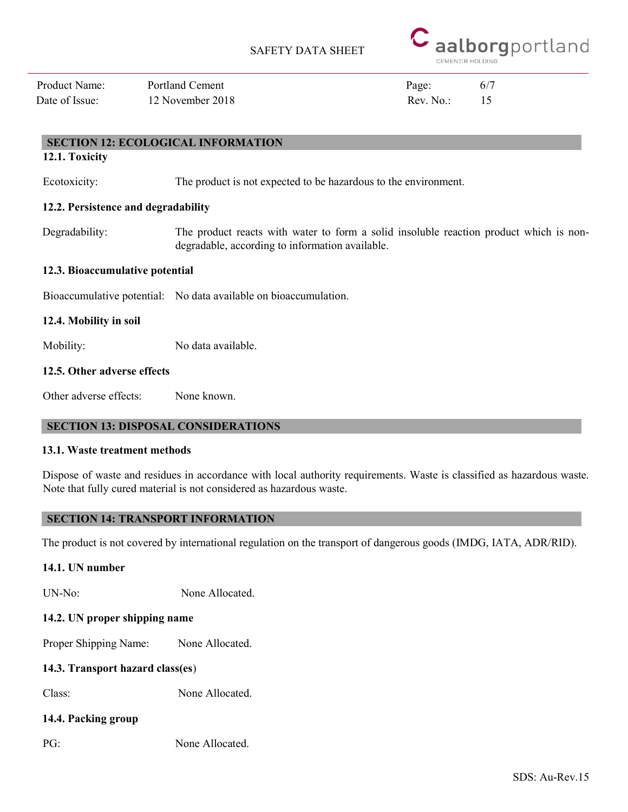

Date of Issue: 12 November 2018 Rev. No.: 15 Product Name: Portland Cement Page: 6/7

## SECTION 12: ECOLOGICAL INFORMATION

12.1. Toxicity

Ecotoxicity: The product is not expected to be hazardous to the environment.

## 12.2. Persistence and degradability

Degradability: The product reacts with water to form a solid insoluble reaction product which is nondegradable, according to information available.

## 12.3. Bioaccumulative potential

Bioaccumulative potential: No data available on bioaccumulation.

12.4. Mobility in soil

Mobility: No data available.

## 12.5. Other adverse effects

Other adverse effects: None known.

## SECTION 13: DISPOSAL CONSIDERATIONS

## 13.1. Waste treatment methods

Dispose of waste and residues in accordance with local authority requirements. Waste is classified as hazardous waste. Note that fully cured material is not considered as hazardous waste.

## SECTION 14: TRANSPORT INFORMATION

The product is not covered by international regulation on the transport of dangerous goods (IMDG, IATA, ADR/RID).

## 14.1. UN number

UN-No: None Allocated.

## 14.2. UN proper shipping name

Proper Shipping Name: None Allocated.

## 14.3. Transport hazard class(es)

Class: None Allocated.

## 14.4. Packing group

PG: None Allocated.